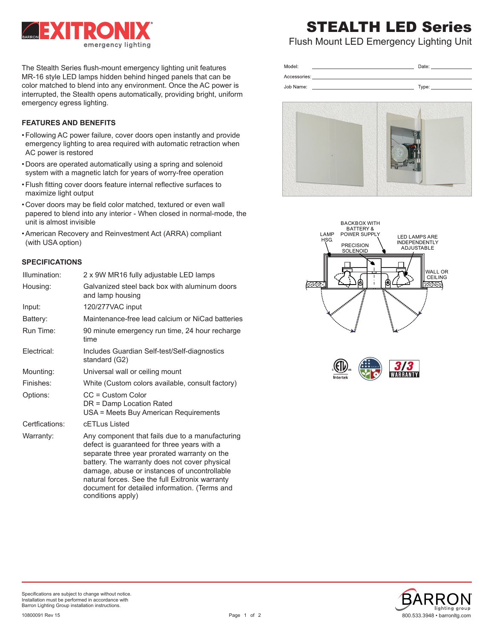

The Stealth Series flush-mount emergency lighting unit features MR-16 style LED lamps hidden behind hinged panels that can be color matched to blend into any environment. Once the AC power is interrupted, the Stealth opens automatically, providing bright, uniform emergency egress lighting.

# **FEATURES AND BENEFITS**

- •Following AC power failure, cover doors open instantly and provide emergency lighting to area required with automatic retraction when AC power is restored
- Doors are operated automatically using a spring and solenoid system with a magnetic latch for years of worry-free operation
- •Flush fitting cover doors feature internal reflective surfaces to maximize light output
- Cover doors may be field color matched, textured or even wall papered to blend into any interior - When closed in normal-mode, the unit is almost invisible
- •American Recovery and Reinvestment Act (ARRA) compliant (with USA option)

# **SPECIFICATIONS**

| Illumination:  | 2 x 9W MR16 fully adjustable LED lamps                                                                                                                                                                                                                                                                                                                                   |  |  |
|----------------|--------------------------------------------------------------------------------------------------------------------------------------------------------------------------------------------------------------------------------------------------------------------------------------------------------------------------------------------------------------------------|--|--|
| Housing:       | Galvanized steel back box with aluminum doors<br>and lamp housing                                                                                                                                                                                                                                                                                                        |  |  |
| Input:         | 120/277VAC input                                                                                                                                                                                                                                                                                                                                                         |  |  |
| Battery:       | Maintenance-free lead calcium or NiCad batteries                                                                                                                                                                                                                                                                                                                         |  |  |
| Run Time:      | 90 minute emergency run time, 24 hour recharge<br>time                                                                                                                                                                                                                                                                                                                   |  |  |
| Electrical:    | Includes Guardian Self-test/Self-diagnostics<br>standard (G2)                                                                                                                                                                                                                                                                                                            |  |  |
| Mounting:      | Universal wall or ceiling mount                                                                                                                                                                                                                                                                                                                                          |  |  |
| Finishes:      | White (Custom colors available, consult factory)                                                                                                                                                                                                                                                                                                                         |  |  |
| Options:       | $CC = Customer$ Custom Color<br>DR = Damp Location Rated<br>USA = Meets Buy American Requirements                                                                                                                                                                                                                                                                        |  |  |
| Certfications: | cFTI us Listed                                                                                                                                                                                                                                                                                                                                                           |  |  |
| Warranty:      | Any component that fails due to a manufacturing<br>defect is guaranteed for three years with a<br>separate three year prorated warranty on the<br>battery. The warranty does not cover physical<br>damage, abuse or instances of uncontrollable<br>natural forces. See the full Exitronix warranty<br>document for detailed information. (Terms and<br>conditions apply) |  |  |

# STEALTH LED Series

Flush Mount LED Emergency Lighting Unit

| ndel.                 | วate: |
|-----------------------|-------|
| sories:<br><b>COL</b> |       |

Type:

Job Name:









Specifications are subject to change without notice. Installation must be performed in accordance with Barron Lighting Group installation instructions.